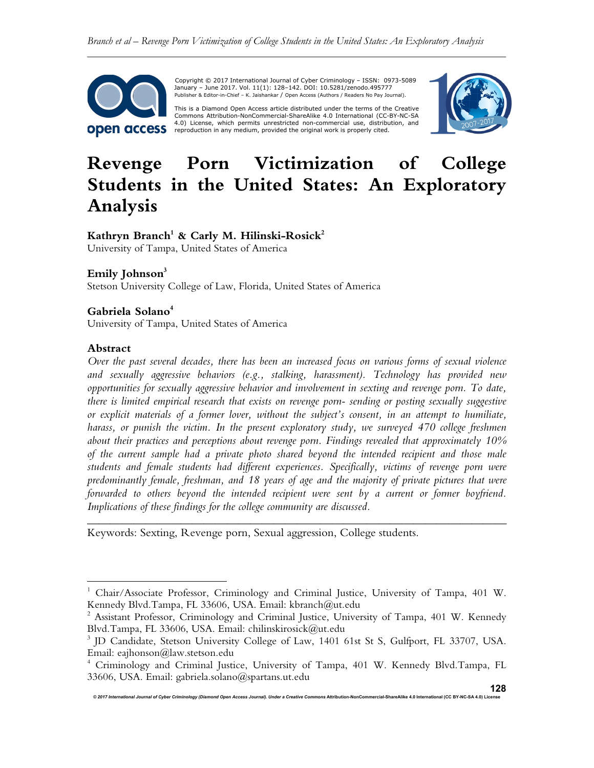

 Copyright © 2017 International Journal of Cyber Criminology – ISSN: 0973-5089 January – June 2017. Vol. 11(1): 128–142. DOI: 10.5281/zenodo.495777 Publisher & Editor-in-Chief – K. Jaishankar / Open Access (Authors / Readers No Pay Journal).

This is a Diamond Open Access article distributed under the terms of the Creative<br>Commons Attribution-NonCommercial-ShareAlike 4.0 International (CC-BY-NC-SA 4.0) License, which permits unrestricted non-commercial use, distribution, and reproduction in any medium, provided the original work is properly cited.



# **Revenge Porn Victimization of College Students in the United States: An Exploratory Analysis**

# **Kathryn Branch<sup>1</sup> & Carly M. Hilinski-Rosick<sup>2</sup>**

University of Tampa, United States of America

# **Emily Johnson<sup>3</sup>**

Stetson University College of Law, Florida, United States of America

# **Gabriela Solano<sup>4</sup>**

University of Tampa, United States of America

#### **Abstract**

 $\overline{a}$ 

*Over the past several decades, there has been an increased focus on various forms of sexual violence and sexually aggressive behaviors (e.g., stalking, harassment). Technology has provided new opportunities for sexually aggressive behavior and involvement in sexting and revenge porn. To date, there is limited empirical research that exists on revenge porn- sending or posting sexually suggestive or explicit materials of a former lover, without the subject's consent, in an attempt to humiliate, harass, or punish the victim. In the present exploratory study, we surveyed 470 college freshmen about their practices and perceptions about revenge porn. Findings revealed that approximately 10% of the current sample had a private photo shared beyond the intended recipient and those male students and female students had different experiences. Specifically, victims of revenge porn were predominantly female, freshman, and 18 years of age and the majority of private pictures that were forwarded to others beyond the intended recipient were sent by a current or former boyfriend. Implications of these findings for the college community are discussed.*

Keywords: Sexting, Revenge porn, Sexual aggression, College students.

*\_\_\_\_\_\_\_\_\_\_\_\_\_\_\_\_\_\_\_\_\_\_\_\_\_\_\_\_\_\_\_\_\_\_\_\_\_\_\_\_\_\_\_\_\_\_\_\_\_\_\_\_\_\_\_\_\_\_\_\_\_\_\_\_\_\_\_\_\_\_\_\_* 

<sup>&</sup>lt;sup>1</sup> Chair/Associate Professor, Criminology and Criminal Justice, University of Tampa, 401 W. Kennedy Blvd.Tampa, FL 33606, USA. Email: kbranch@ut.edu

<sup>&</sup>lt;sup>2</sup> Assistant Professor, Criminology and Criminal Justice, University of Tampa, 401 W. Kennedy Blvd.Tampa, FL 33606, USA. Email: chilinskirosick@ut.edu

<sup>&</sup>lt;sup>3</sup> JD Candidate, Stetson University College of Law, 1401 61st St S, Gulfport, FL 33707, USA. Email: eajhonson@law.stetson.edu

<sup>4</sup> Criminology and Criminal Justice, University of Tampa, 401 W. Kennedy Blvd.Tampa, FL 33606, USA. Email: gabriela.solano@spartans.ut.edu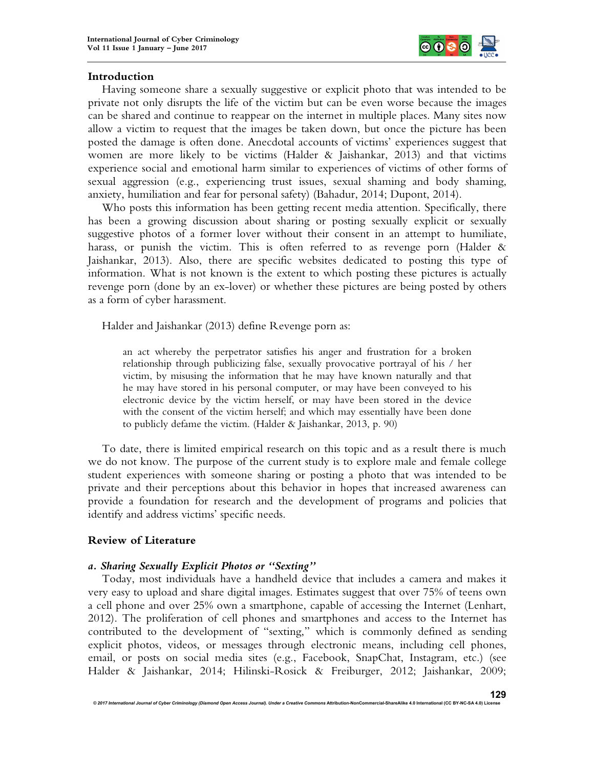

## **Introduction**

Having someone share a sexually suggestive or explicit photo that was intended to be private not only disrupts the life of the victim but can be even worse because the images can be shared and continue to reappear on the internet in multiple places. Many sites now allow a victim to request that the images be taken down, but once the picture has been posted the damage is often done. Anecdotal accounts of victims' experiences suggest that women are more likely to be victims (Halder & Jaishankar, 2013) and that victims experience social and emotional harm similar to experiences of victims of other forms of sexual aggression (e.g., experiencing trust issues, sexual shaming and body shaming, anxiety, humiliation and fear for personal safety) (Bahadur, 2014; Dupont, 2014).

Who posts this information has been getting recent media attention. Specifically, there has been a growing discussion about sharing or posting sexually explicit or sexually suggestive photos of a former lover without their consent in an attempt to humiliate, harass, or punish the victim. This is often referred to as revenge porn (Halder & Jaishankar, 2013). Also, there are specific websites dedicated to posting this type of information. What is not known is the extent to which posting these pictures is actually revenge porn (done by an ex-lover) or whether these pictures are being posted by others as a form of cyber harassment.

Halder and Jaishankar (2013) define Revenge porn as:

an act whereby the perpetrator satisfies his anger and frustration for a broken relationship through publicizing false, sexually provocative portrayal of his / her victim, by misusing the information that he may have known naturally and that he may have stored in his personal computer, or may have been conveyed to his electronic device by the victim herself, or may have been stored in the device with the consent of the victim herself; and which may essentially have been done to publicly defame the victim. (Halder & Jaishankar, 2013, p. 90)

To date, there is limited empirical research on this topic and as a result there is much we do not know. The purpose of the current study is to explore male and female college student experiences with someone sharing or posting a photo that was intended to be private and their perceptions about this behavior in hopes that increased awareness can provide a foundation for research and the development of programs and policies that identify and address victims' specific needs.

# **Review of Literature**

# *a. Sharing Sexually Explicit Photos or "Sexting"*

Today, most individuals have a handheld device that includes a camera and makes it very easy to upload and share digital images. Estimates suggest that over 75% of teens own a cell phone and over 25% own a smartphone, capable of accessing the Internet (Lenhart, 2012). The proliferation of cell phones and smartphones and access to the Internet has contributed to the development of "sexting," which is commonly defined as sending explicit photos, videos, or messages through electronic means, including cell phones, email, or posts on social media sites (e.g., Facebook, SnapChat, Instagram, etc.) (see Halder & Jaishankar, 2014; Hilinski-Rosick & Freiburger, 2012; Jaishankar, 2009;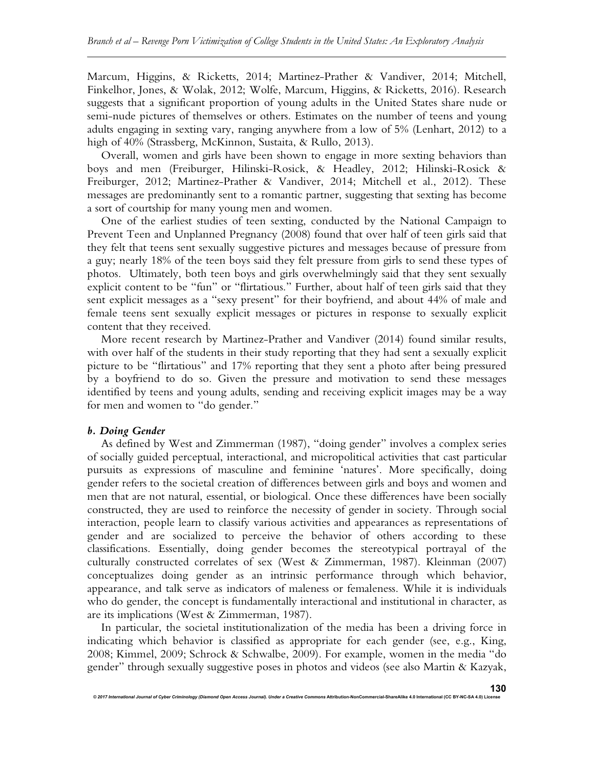Marcum, Higgins, & Ricketts, 2014; Martinez-Prather & Vandiver, 2014; Mitchell, Finkelhor, Jones, & Wolak, 2012; Wolfe, Marcum, Higgins, & Ricketts, 2016). Research suggests that a significant proportion of young adults in the United States share nude or semi-nude pictures of themselves or others. Estimates on the number of teens and young adults engaging in sexting vary, ranging anywhere from a low of 5% (Lenhart, 2012) to a high of 40% (Strassberg, McKinnon, Sustaita, & Rullo, 2013).

Overall, women and girls have been shown to engage in more sexting behaviors than boys and men (Freiburger, Hilinski-Rosick, & Headley, 2012; Hilinski-Rosick & Freiburger, 2012; Martinez-Prather & Vandiver, 2014; Mitchell et al., 2012). These messages are predominantly sent to a romantic partner, suggesting that sexting has become a sort of courtship for many young men and women.

One of the earliest studies of teen sexting, conducted by the National Campaign to Prevent Teen and Unplanned Pregnancy (2008) found that over half of teen girls said that they felt that teens sent sexually suggestive pictures and messages because of pressure from a guy; nearly 18% of the teen boys said they felt pressure from girls to send these types of photos. Ultimately, both teen boys and girls overwhelmingly said that they sent sexually explicit content to be "fun" or "flirtatious." Further, about half of teen girls said that they sent explicit messages as a "sexy present" for their boyfriend, and about 44% of male and female teens sent sexually explicit messages or pictures in response to sexually explicit content that they received.

More recent research by Martinez-Prather and Vandiver (2014) found similar results, with over half of the students in their study reporting that they had sent a sexually explicit picture to be "flirtatious" and 17% reporting that they sent a photo after being pressured by a boyfriend to do so. Given the pressure and motivation to send these messages identified by teens and young adults, sending and receiving explicit images may be a way for men and women to "do gender."

# *b. Doing Gender*

As defined by West and Zimmerman (1987), "doing gender" involves a complex series of socially guided perceptual, interactional, and micropolitical activities that cast particular pursuits as expressions of masculine and feminine 'natures'. More specifically, doing gender refers to the societal creation of differences between girls and boys and women and men that are not natural, essential, or biological. Once these differences have been socially constructed, they are used to reinforce the necessity of gender in society. Through social interaction, people learn to classify various activities and appearances as representations of gender and are socialized to perceive the behavior of others according to these classifications. Essentially, doing gender becomes the stereotypical portrayal of the culturally constructed correlates of sex (West & Zimmerman, 1987). Kleinman (2007) conceptualizes doing gender as an intrinsic performance through which behavior, appearance, and talk serve as indicators of maleness or femaleness. While it is individuals who do gender, the concept is fundamentally interactional and institutional in character, as are its implications (West & Zimmerman, 1987).

In particular, the societal institutionalization of the media has been a driving force in indicating which behavior is classified as appropriate for each gender (see, e.g., King, 2008; Kimmel, 2009; Schrock & Schwalbe, 2009). For example, women in the media "do gender" through sexually suggestive poses in photos and videos (see also Martin & Kazyak,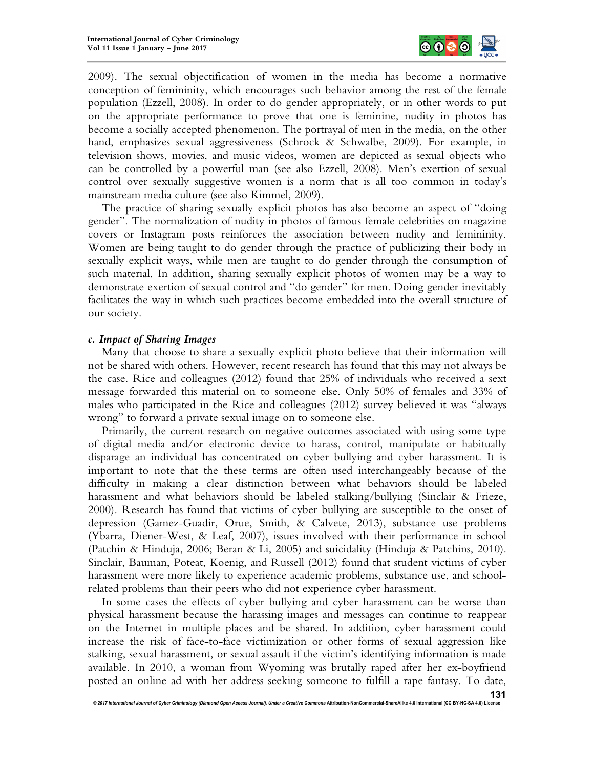

2009). The sexual objectification of women in the media has become a normative conception of femininity, which encourages such behavior among the rest of the female population (Ezzell, 2008). In order to do gender appropriately, or in other words to put on the appropriate performance to prove that one is feminine, nudity in photos has become a socially accepted phenomenon. The portrayal of men in the media, on the other hand, emphasizes sexual aggressiveness (Schrock & Schwalbe, 2009). For example, in television shows, movies, and music videos, women are depicted as sexual objects who can be controlled by a powerful man (see also Ezzell, 2008). Men's exertion of sexual control over sexually suggestive women is a norm that is all too common in today's mainstream media culture (see also Kimmel, 2009).

The practice of sharing sexually explicit photos has also become an aspect of "doing gender". The normalization of nudity in photos of famous female celebrities on magazine covers or Instagram posts reinforces the association between nudity and femininity. Women are being taught to do gender through the practice of publicizing their body in sexually explicit ways, while men are taught to do gender through the consumption of such material. In addition, sharing sexually explicit photos of women may be a way to demonstrate exertion of sexual control and "do gender" for men. Doing gender inevitably facilitates the way in which such practices become embedded into the overall structure of our society.

#### *c. Impact of Sharing Images*

Many that choose to share a sexually explicit photo believe that their information will not be shared with others. However, recent research has found that this may not always be the case. Rice and colleagues (2012) found that 25% of individuals who received a sext message forwarded this material on to someone else. Only 50% of females and 33% of males who participated in the Rice and colleagues (2012) survey believed it was "always wrong" to forward a private sexual image on to someone else.

Primarily, the current research on negative outcomes associated with using some type of digital media and/or electronic device to harass, control, manipulate or habitually disparage an individual has concentrated on cyber bullying and cyber harassment. It is important to note that the these terms are often used interchangeably because of the difficulty in making a clear distinction between what behaviors should be labeled harassment and what behaviors should be labeled stalking/bullying (Sinclair & Frieze, 2000). Research has found that victims of cyber bullying are susceptible to the onset of depression (Gamez-Guadir, Orue, Smith, & Calvete, 2013), substance use problems (Ybarra, Diener-West, & Leaf, 2007), issues involved with their performance in school (Patchin & Hinduja, 2006; Beran & Li, 2005) and suicidality (Hinduja & Patchins, 2010). Sinclair, Bauman, Poteat, Koenig, and Russell (2012) found that student victims of cyber harassment were more likely to experience academic problems, substance use, and schoolrelated problems than their peers who did not experience cyber harassment.

In some cases the effects of cyber bullying and cyber harassment can be worse than physical harassment because the harassing images and messages can continue to reappear on the Internet in multiple places and be shared. In addition, cyber harassment could increase the risk of face-to-face victimization or other forms of sexual aggression like stalking, sexual harassment, or sexual assault if the victim's identifying information is made available. In 2010, a woman from Wyoming was brutally raped after her ex-boyfriend posted an online ad with her address seeking someone to fulfill a rape fantasy. To date,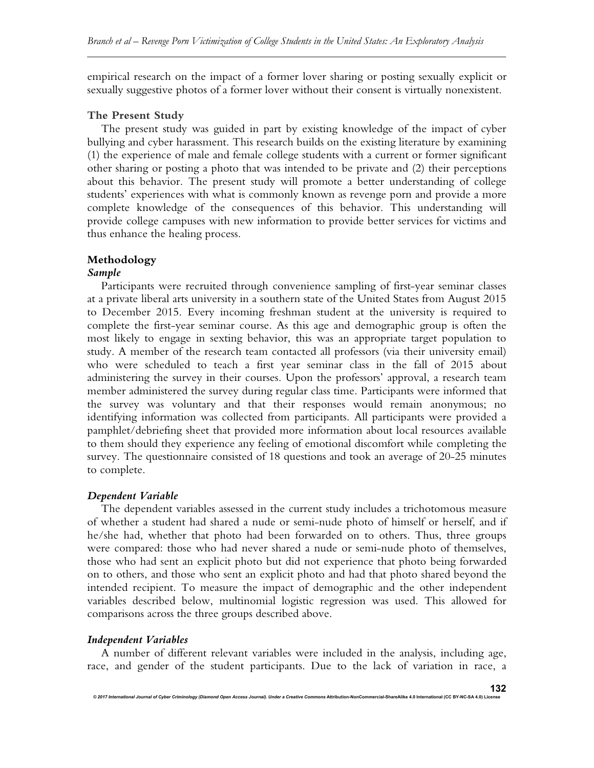empirical research on the impact of a former lover sharing or posting sexually explicit or sexually suggestive photos of a former lover without their consent is virtually nonexistent.

#### **The Present Study**

The present study was guided in part by existing knowledge of the impact of cyber bullying and cyber harassment. This research builds on the existing literature by examining (1) the experience of male and female college students with a current or former significant other sharing or posting a photo that was intended to be private and (2) their perceptions about this behavior. The present study will promote a better understanding of college students' experiences with what is commonly known as revenge porn and provide a more complete knowledge of the consequences of this behavior. This understanding will provide college campuses with new information to provide better services for victims and thus enhance the healing process.

# **Methodology**

#### *Sample*

Participants were recruited through convenience sampling of first-year seminar classes at a private liberal arts university in a southern state of the United States from August 2015 to December 2015. Every incoming freshman student at the university is required to complete the first-year seminar course. As this age and demographic group is often the most likely to engage in sexting behavior, this was an appropriate target population to study. A member of the research team contacted all professors (via their university email) who were scheduled to teach a first year seminar class in the fall of 2015 about administering the survey in their courses. Upon the professors' approval, a research team member administered the survey during regular class time. Participants were informed that the survey was voluntary and that their responses would remain anonymous; no identifying information was collected from participants. All participants were provided a pamphlet/debriefing sheet that provided more information about local resources available to them should they experience any feeling of emotional discomfort while completing the survey. The questionnaire consisted of 18 questions and took an average of 20-25 minutes to complete.

#### *Dependent Variable*

The dependent variables assessed in the current study includes a trichotomous measure of whether a student had shared a nude or semi-nude photo of himself or herself, and if he/she had, whether that photo had been forwarded on to others. Thus, three groups were compared: those who had never shared a nude or semi-nude photo of themselves, those who had sent an explicit photo but did not experience that photo being forwarded on to others, and those who sent an explicit photo and had that photo shared beyond the intended recipient. To measure the impact of demographic and the other independent variables described below, multinomial logistic regression was used. This allowed for comparisons across the three groups described above.

#### *Independent Variables*

A number of different relevant variables were included in the analysis, including age, race, and gender of the student participants. Due to the lack of variation in race, a

*© 2017 International Journal of Cyber Criminology (Diamond Open Access Journal). Under a Creative Commons* **Attribution-NonCommercial-ShareAlike 4.0 International (CC BY-NC-SA 4.0) License**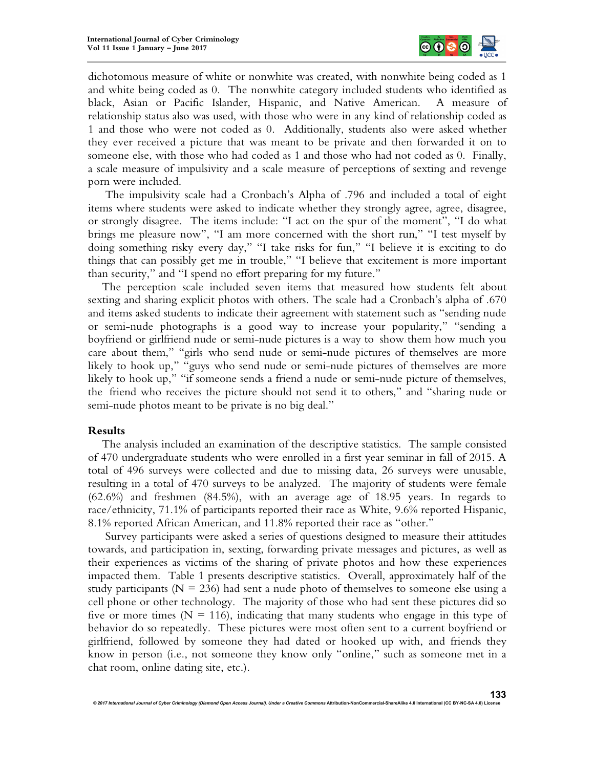

dichotomous measure of white or nonwhite was created, with nonwhite being coded as 1 and white being coded as 0. The nonwhite category included students who identified as black, Asian or Pacific Islander, Hispanic, and Native American. A measure of relationship status also was used, with those who were in any kind of relationship coded as 1 and those who were not coded as 0. Additionally, students also were asked whether they ever received a picture that was meant to be private and then forwarded it on to someone else, with those who had coded as 1 and those who had not coded as 0. Finally, a scale measure of impulsivity and a scale measure of perceptions of sexting and revenge porn were included.

The impulsivity scale had a Cronbach's Alpha of .796 and included a total of eight items where students were asked to indicate whether they strongly agree, agree, disagree, or strongly disagree. The items include: "I act on the spur of the moment", "I do what brings me pleasure now", "I am more concerned with the short run," "I test myself by doing something risky every day," "I take risks for fun," "I believe it is exciting to do things that can possibly get me in trouble," "I believe that excitement is more important than security," and "I spend no effort preparing for my future."

The perception scale included seven items that measured how students felt about sexting and sharing explicit photos with others. The scale had a Cronbach's alpha of .670 and items asked students to indicate their agreement with statement such as "sending nude or semi-nude photographs is a good way to increase your popularity," "sending a boyfriend or girlfriend nude or semi-nude pictures is a way to show them how much you care about them," "girls who send nude or semi-nude pictures of themselves are more likely to hook up," "guys who send nude or semi-nude pictures of themselves are more likely to hook up," "if someone sends a friend a nude or semi-nude picture of themselves, the friend who receives the picture should not send it to others," and "sharing nude or semi-nude photos meant to be private is no big deal."

#### **Results**

The analysis included an examination of the descriptive statistics. The sample consisted of 470 undergraduate students who were enrolled in a first year seminar in fall of 2015. A total of 496 surveys were collected and due to missing data, 26 surveys were unusable, resulting in a total of 470 surveys to be analyzed. The majority of students were female (62.6%) and freshmen (84.5%), with an average age of 18.95 years. In regards to race/ethnicity, 71.1% of participants reported their race as White, 9.6% reported Hispanic, 8.1% reported African American, and 11.8% reported their race as "other."

Survey participants were asked a series of questions designed to measure their attitudes towards, and participation in, sexting, forwarding private messages and pictures, as well as their experiences as victims of the sharing of private photos and how these experiences impacted them. Table 1 presents descriptive statistics. Overall, approximately half of the study participants ( $N = 236$ ) had sent a nude photo of themselves to someone else using a cell phone or other technology. The majority of those who had sent these pictures did so five or more times ( $N = 116$ ), indicating that many students who engage in this type of behavior do so repeatedly. These pictures were most often sent to a current boyfriend or girlfriend, followed by someone they had dated or hooked up with, and friends they know in person (i.e., not someone they know only "online," such as someone met in a chat room, online dating site, etc.).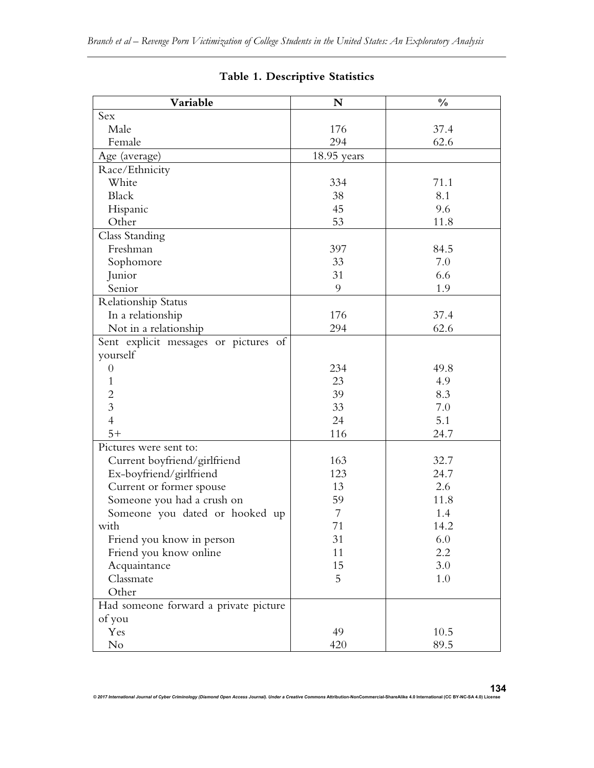| Variable                              | N             | $\frac{0}{0}$ |
|---------------------------------------|---------------|---------------|
| Sex                                   |               |               |
| Male                                  | 176           | 37.4          |
| Female                                | 294           | 62.6          |
| Age (average)                         | $18.95$ years |               |
| Race/Ethnicity                        |               |               |
| White                                 | 334           | 71.1          |
| Black                                 | 38            | 8.1           |
| Hispanic                              | 45            | 9.6           |
| Other                                 | 53            | 11.8          |
| Class Standing                        |               |               |
| Freshman                              | 397           | 84.5          |
| Sophomore                             | 33            | 7.0           |
| Junior                                | 31            | 6.6           |
| Senior                                | 9             | 1.9           |
| <b>Relationship Status</b>            |               |               |
| In a relationship                     | 176           | 37.4          |
| Not in a relationship                 | 294           | 62.6          |
| Sent explicit messages or pictures of |               |               |
| yourself                              |               |               |
| $\theta$                              | 234           | 49.8          |
| $\mathbf{1}$                          | 23            | 4.9           |
| $\overline{c}$                        | 39            | 8.3           |
| $\overline{3}$                        | 33            | 7.0           |
| $\overline{4}$                        | 24            | 5.1           |
| $5+$                                  | 116           | 24.7          |
| Pictures were sent to:                |               |               |
| Current boyfriend/girlfriend          | 163           | 32.7          |
| Ex-boyfriend/girlfriend               | 123           | 24.7          |
| Current or former spouse              | 13            | 2.6           |
| Someone you had a crush on            | 59            | 11.8          |
| Someone you dated or hooked up        | 7             | 1.4           |
| with                                  | 71            | 14.2          |
| Friend you know in person             | 31            | 6.0           |
| Friend you know online                | 11            | 2.2           |
| Acquaintance                          | 15            | 3.0           |
| Classmate                             | 5             | $1.0\,$       |
| Other                                 |               |               |
| Had someone forward a private picture |               |               |
| of you                                |               |               |
| Yes                                   | 49            | 10.5          |
| No                                    | 420           | 89.5          |

# **Table 1. Descriptive Statistics**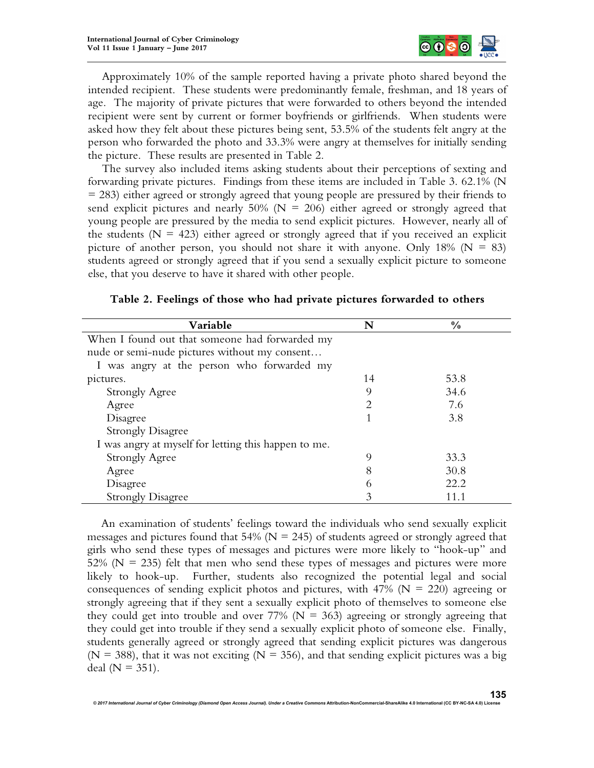

Approximately 10% of the sample reported having a private photo shared beyond the intended recipient. These students were predominantly female, freshman, and 18 years of age. The majority of private pictures that were forwarded to others beyond the intended recipient were sent by current or former boyfriends or girlfriends. When students were asked how they felt about these pictures being sent, 53.5% of the students felt angry at the person who forwarded the photo and 33.3% were angry at themselves for initially sending the picture. These results are presented in Table 2.

The survey also included items asking students about their perceptions of sexting and forwarding private pictures. Findings from these items are included in Table 3. 62.1% (N = 283) either agreed or strongly agreed that young people are pressured by their friends to send explicit pictures and nearly 50% ( $N = 206$ ) either agreed or strongly agreed that young people are pressured by the media to send explicit pictures. However, nearly all of the students ( $N = 423$ ) either agreed or strongly agreed that if you received an explicit picture of another person, you should not share it with anyone. Only  $18\%$  (N = 83) students agreed or strongly agreed that if you send a sexually explicit picture to someone else, that you deserve to have it shared with other people.

| Variable                                             | N  | $\frac{0}{0}$ |  |  |
|------------------------------------------------------|----|---------------|--|--|
| When I found out that someone had forwarded my       |    |               |  |  |
| nude or semi-nude pictures without my consent        |    |               |  |  |
| I was angry at the person who forwarded my           |    |               |  |  |
| pictures.                                            | 14 | 53.8          |  |  |
| Strongly Agree                                       | 9  | 34.6          |  |  |
| Agree                                                |    | 7.6           |  |  |
| Disagree                                             |    | 3.8           |  |  |
| <b>Strongly Disagree</b>                             |    |               |  |  |
| I was angry at myself for letting this happen to me. |    |               |  |  |
| <b>Strongly Agree</b>                                | 9  | 33.3          |  |  |
| Agree                                                | 8  | 30.8          |  |  |
| Disagree                                             | b  | 22.2          |  |  |
| <b>Strongly Disagree</b>                             | 3  |               |  |  |

An examination of students' feelings toward the individuals who send sexually explicit messages and pictures found that 54% ( $N = 245$ ) of students agreed or strongly agreed that girls who send these types of messages and pictures were more likely to "hook-up" and 52% ( $N = 235$ ) felt that men who send these types of messages and pictures were more likely to hook-up. Further, students also recognized the potential legal and social consequences of sending explicit photos and pictures, with  $47\%$  (N = 220) agreeing or strongly agreeing that if they sent a sexually explicit photo of themselves to someone else they could get into trouble and over 77% ( $N = 363$ ) agreeing or strongly agreeing that they could get into trouble if they send a sexually explicit photo of someone else. Finally, students generally agreed or strongly agreed that sending explicit pictures was dangerous ( $N = 388$ ), that it was not exciting ( $N = 356$ ), and that sending explicit pictures was a big deal ( $N = 351$ ).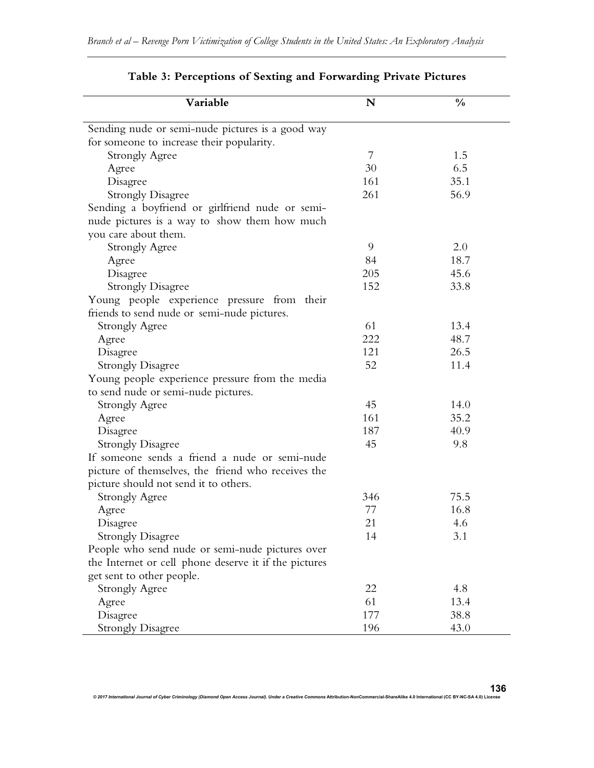| Variable                                              | ${\bf N}$ | $\frac{0}{0}$ |  |
|-------------------------------------------------------|-----------|---------------|--|
| Sending nude or semi-nude pictures is a good way      |           |               |  |
| for someone to increase their popularity.             |           |               |  |
| <b>Strongly Agree</b>                                 | 7         | 1.5           |  |
| Agree                                                 | 30        | 6.5           |  |
| Disagree                                              | 161       | 35.1          |  |
| <b>Strongly Disagree</b>                              | 261       | 56.9          |  |
| Sending a boyfriend or girlfriend nude or semi-       |           |               |  |
| nude pictures is a way to show them how much          |           |               |  |
| you care about them.                                  |           |               |  |
| <b>Strongly Agree</b>                                 | 9         | 2.0           |  |
| Agree                                                 | 84        | 18.7          |  |
| Disagree                                              | 205       | 45.6          |  |
| <b>Strongly Disagree</b>                              | 152       | 33.8          |  |
| Young people experience pressure from their           |           |               |  |
| friends to send nude or semi-nude pictures.           |           |               |  |
| <b>Strongly Agree</b>                                 | 61        | 13.4          |  |
| Agree                                                 | 222       | 48.7          |  |
| Disagree                                              | 121       | 26.5          |  |
| <b>Strongly Disagree</b>                              | 52        | 11.4          |  |
| Young people experience pressure from the media       |           |               |  |
| to send nude or semi-nude pictures.                   |           |               |  |
| <b>Strongly Agree</b>                                 | 45        | 14.0          |  |
| Agree                                                 | 161       | 35.2          |  |
| Disagree                                              | 187       | 40.9          |  |
| <b>Strongly Disagree</b>                              | 45        | 9.8           |  |
| If someone sends a friend a nude or semi-nude         |           |               |  |
| picture of themselves, the friend who receives the    |           |               |  |
| picture should not send it to others.                 |           |               |  |
| <b>Strongly Agree</b>                                 | 346       | 75.5          |  |
| Agree                                                 | 77        | 16.8          |  |
| Disagree                                              | 21        | 4.6           |  |
| <b>Strongly Disagree</b>                              | 14        | 3.1           |  |
| People who send nude or semi-nude pictures over       |           |               |  |
| the Internet or cell phone deserve it if the pictures |           |               |  |
| get sent to other people.                             |           |               |  |
| <b>Strongly Agree</b>                                 | 22        | 4.8           |  |
| Agree                                                 | 61        | 13.4          |  |
| Disagree                                              | 177       | 38.8          |  |
| <b>Strongly Disagree</b>                              | 196       | 43.0          |  |

# **Table 3: Perceptions of Sexting and Forwarding Private Pictures**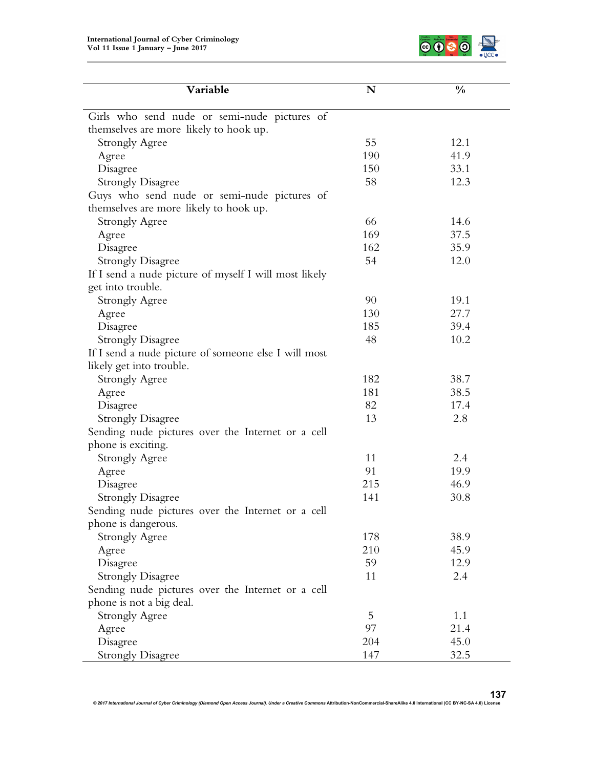

| Variable                                                                              | N   | $\frac{0}{0}$ |
|---------------------------------------------------------------------------------------|-----|---------------|
|                                                                                       |     |               |
| Girls who send nude or semi-nude pictures of                                          |     |               |
| themselves are more likely to hook up.                                                | 55  | 12.1          |
| <b>Strongly Agree</b>                                                                 | 190 | 41.9          |
| Agree                                                                                 | 150 | 33.1          |
| Disagree                                                                              | 58  | 12.3          |
| <b>Strongly Disagree</b>                                                              |     |               |
| Guys who send nude or semi-nude pictures of<br>themselves are more likely to hook up. |     |               |
|                                                                                       | 66  | 14.6          |
| <b>Strongly Agree</b>                                                                 | 169 | 37.5          |
| Agree                                                                                 | 162 | 35.9          |
| Disagree                                                                              | 54  | 12.0          |
| <b>Strongly Disagree</b>                                                              |     |               |
| If I send a nude picture of myself I will most likely                                 |     |               |
| get into trouble.                                                                     | 90  |               |
| <b>Strongly Agree</b>                                                                 |     | 19.1          |
| Agree                                                                                 | 130 | 27.7          |
| Disagree                                                                              | 185 | 39.4          |
| <b>Strongly Disagree</b>                                                              | 48  | 10.2          |
| If I send a nude picture of someone else I will most                                  |     |               |
| likely get into trouble.                                                              |     |               |
| <b>Strongly Agree</b>                                                                 | 182 | 38.7          |
| Agree                                                                                 | 181 | 38.5          |
| Disagree                                                                              | 82  | 17.4          |
| <b>Strongly Disagree</b>                                                              | 13  | 2.8           |
| Sending nude pictures over the Internet or a cell                                     |     |               |
| phone is exciting.                                                                    |     |               |
| <b>Strongly Agree</b>                                                                 | 11  | 2.4           |
| Agree                                                                                 | 91  | 19.9          |
| Disagree                                                                              | 215 | 46.9          |
| <b>Strongly Disagree</b>                                                              | 141 | 30.8          |
| Sending nude pictures over the Internet or a cell                                     |     |               |
| phone is dangerous.                                                                   |     |               |
| <b>Strongly Agree</b>                                                                 | 178 | 38.9          |
| Agree                                                                                 | 210 | 45.9          |
| Disagree                                                                              | 59  | 12.9          |
| <b>Strongly Disagree</b>                                                              | 11  | 2.4           |
| Sending nude pictures over the Internet or a cell                                     |     |               |
| phone is not a big deal.                                                              |     |               |
| <b>Strongly Agree</b>                                                                 | 5   | 1.1           |
| Agree                                                                                 | 97  | 21.4          |
| Disagree                                                                              | 204 | 45.0          |
| <b>Strongly Disagree</b>                                                              | 147 | 32.5          |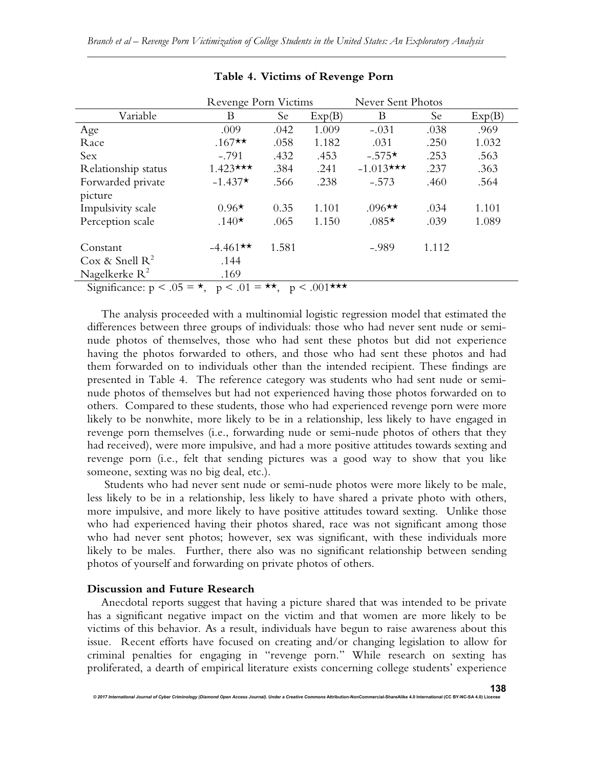|                     | Revenge Porn Victims |       | Never Sent Photos |              |       |        |
|---------------------|----------------------|-------|-------------------|--------------|-------|--------|
| Variable            | В                    | Se    | Exp(B)            | Β            | Se    | Exp(B) |
| Age                 | .009                 | .042  | 1.009             | $-.031$      | .038  | .969   |
| Race                | $.167**$             | .058  | 1.182             | .031         | .250  | 1.032  |
| Sex                 | $-.791$              | .432  | .453              | $-.575*$     | .253  | .563   |
| Relationship status | $1.423***$           | .384  | .241              | $-1.013$ *** | .237  | .363   |
| Forwarded private   | $-1.437*$            | .566  | .238              | $-.573$      | .460  | .564   |
| picture             |                      |       |                   |              |       |        |
| Impulsivity scale   | $0.96*$              | 0.35  | 1.101             | $.096**$     | .034  | 1.101  |
| Perception scale    | $.140*$              | .065  | 1.150             | $.085*$      | .039  | 1.089  |
| Constant            | $-4.461**$           | 1.581 |                   | $-.989$      | 1.112 |        |
| Cox & Snell $R^2$   | .144                 |       |                   |              |       |        |
| Nagelkerke $R^2$    | .169                 |       |                   |              |       |        |
|                     |                      |       |                   |              |       |        |

#### **Table 4. Victims of Revenge Porn**

Significance:  $p < .05 = \star$ ,  $p < .01 = \star \star$ ,  $p < .001 \star \star \star$ 

The analysis proceeded with a multinomial logistic regression model that estimated the differences between three groups of individuals: those who had never sent nude or seminude photos of themselves, those who had sent these photos but did not experience having the photos forwarded to others, and those who had sent these photos and had them forwarded on to individuals other than the intended recipient. These findings are presented in Table 4. The reference category was students who had sent nude or seminude photos of themselves but had not experienced having those photos forwarded on to others. Compared to these students, those who had experienced revenge porn were more likely to be nonwhite, more likely to be in a relationship, less likely to have engaged in revenge porn themselves (i.e., forwarding nude or semi-nude photos of others that they had received), were more impulsive, and had a more positive attitudes towards sexting and revenge porn (i.e., felt that sending pictures was a good way to show that you like someone, sexting was no big deal, etc.).

Students who had never sent nude or semi-nude photos were more likely to be male, less likely to be in a relationship, less likely to have shared a private photo with others, more impulsive, and more likely to have positive attitudes toward sexting. Unlike those who had experienced having their photos shared, race was not significant among those who had never sent photos; however, sex was significant, with these individuals more likely to be males. Further, there also was no significant relationship between sending photos of yourself and forwarding on private photos of others.

#### **Discussion and Future Research**

*© 2017 International Journal of Cyber Criminology (Diamond Open Access Journal). Under a Creative Commons* **Attribution-NonCommercial-ShareAlike 4.0 International (CC BY-NC-SA 4.0) License**

Anecdotal reports suggest that having a picture shared that was intended to be private has a significant negative impact on the victim and that women are more likely to be victims of this behavior. As a result, individuals have begun to raise awareness about this issue. Recent efforts have focused on creating and/or changing legislation to allow for criminal penalties for engaging in "revenge porn." While research on sexting has proliferated, a dearth of empirical literature exists concerning college students' experience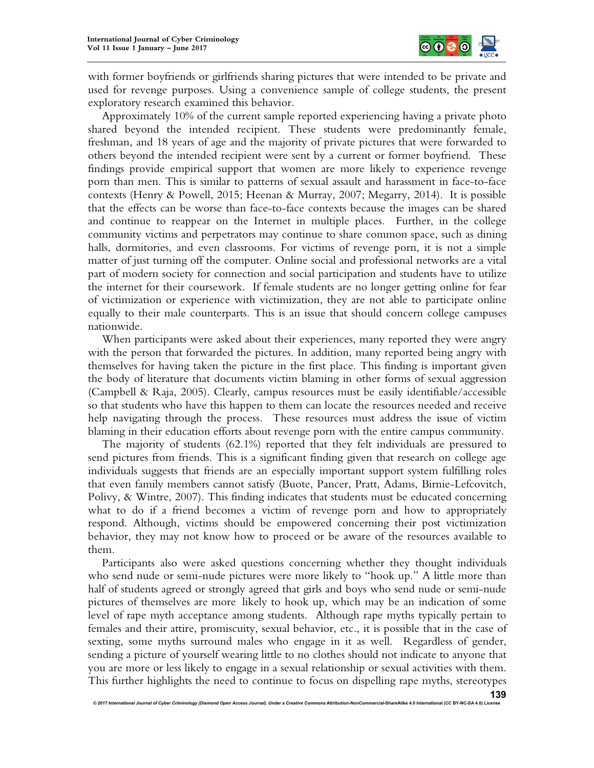

with former boyfriends or girlfriends sharing pictures that were intended to be private and used for revenge purposes. Using a convenience sample of college students, the present exploratory research examined this behavior.

Approximately 10% of the current sample reported experiencing having a private photo shared beyond the intended recipient. These students were predominantly female, freshman, and 18 years of age and the majority of private pictures that were forwarded to others beyond the intended recipient were sent by a current or former boyfriend. These findings provide empirical support that women are more likely to experience revenge porn than men. This is similar to patterns of sexual assault and harassment in face-to-face contexts (Henry & Powell, 2015; Heenan & Murray, 2007; Megarry, 2014). It is possible that the effects can be worse than face-to-face contexts because the images can be shared and continue to reappear on the Internet in multiple places. Further, in the college community victims and perpetrators may continue to share common space, such as dining halls, dormitories, and even classrooms. For victims of revenge porn, it is not a simple matter of just turning off the computer. Online social and professional networks are a vital part of modern society for connection and social participation and students have to utilize the internet for their coursework. If female students are no longer getting online for fear of victimization or experience with victimization, they are not able to participate online equally to their male counterparts. This is an issue that should concern college campuses nationwide.

When participants were asked about their experiences, many reported they were angry with the person that forwarded the pictures. In addition, many reported being angry with themselves for having taken the picture in the first place. This finding is important given the body of literature that documents victim blaming in other forms of sexual aggression (Campbell & Raja, 2005). Clearly, campus resources must be easily identifiable/accessible so that students who have this happen to them can locate the resources needed and receive help navigating through the process. These resources must address the issue of victim blaming in their education efforts about revenge porn with the entire campus community.

The majority of students (62.1%) reported that they felt individuals are pressured to send pictures from friends. This is a significant finding given that research on college age individuals suggests that friends are an especially important support system fulfilling roles that even family members cannot satisfy (Buote, Pancer, Pratt, Adams, Birnie-Lefcovitch, Polivy, & Wintre, 2007). This finding indicates that students must be educated concerning what to do if a friend becomes a victim of revenge porn and how to appropriately respond. Although, victims should be empowered concerning their post victimization behavior, they may not know how to proceed or be aware of the resources available to them.

Participants also were asked questions concerning whether they thought individuals who send nude or semi-nude pictures were more likely to "hook up." A little more than half of students agreed or strongly agreed that girls and boys who send nude or semi-nude pictures of themselves are more likely to hook up, which may be an indication of some level of rape myth acceptance among students. Although rape myths typically pertain to females and their attire, promiscuity, sexual behavior, etc., it is possible that in the case of sexting, some myths surround males who engage in it as well. Regardless of gender, sending a picture of yourself wearing little to no clothes should not indicate to anyone that you are more or less likely to engage in a sexual relationship or sexual activities with them. This further highlights the need to continue to focus on dispelling rape myths, stereotypes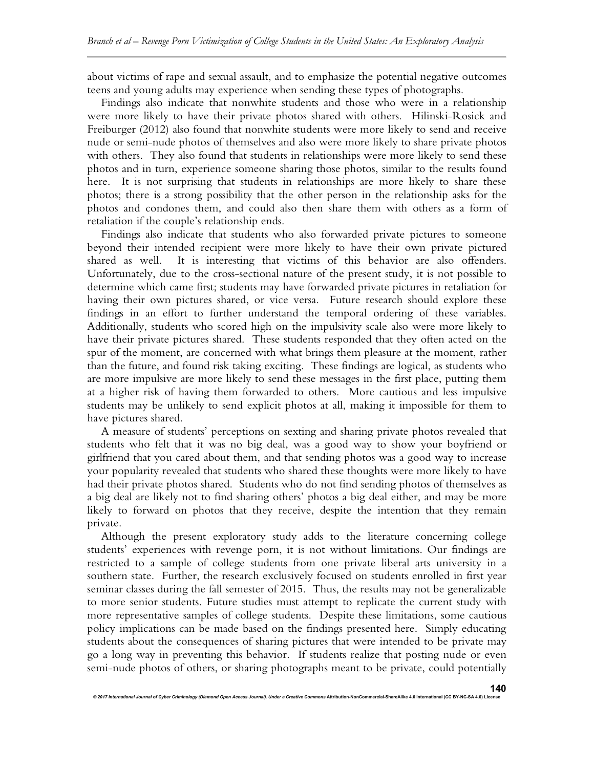about victims of rape and sexual assault, and to emphasize the potential negative outcomes teens and young adults may experience when sending these types of photographs.

Findings also indicate that nonwhite students and those who were in a relationship were more likely to have their private photos shared with others. Hilinski-Rosick and Freiburger (2012) also found that nonwhite students were more likely to send and receive nude or semi-nude photos of themselves and also were more likely to share private photos with others. They also found that students in relationships were more likely to send these photos and in turn, experience someone sharing those photos, similar to the results found here. It is not surprising that students in relationships are more likely to share these photos; there is a strong possibility that the other person in the relationship asks for the photos and condones them, and could also then share them with others as a form of retaliation if the couple's relationship ends.

Findings also indicate that students who also forwarded private pictures to someone beyond their intended recipient were more likely to have their own private pictured shared as well. It is interesting that victims of this behavior are also offenders. Unfortunately, due to the cross-sectional nature of the present study, it is not possible to determine which came first; students may have forwarded private pictures in retaliation for having their own pictures shared, or vice versa. Future research should explore these findings in an effort to further understand the temporal ordering of these variables. Additionally, students who scored high on the impulsivity scale also were more likely to have their private pictures shared. These students responded that they often acted on the spur of the moment, are concerned with what brings them pleasure at the moment, rather than the future, and found risk taking exciting. These findings are logical, as students who are more impulsive are more likely to send these messages in the first place, putting them at a higher risk of having them forwarded to others. More cautious and less impulsive students may be unlikely to send explicit photos at all, making it impossible for them to have pictures shared.

A measure of students' perceptions on sexting and sharing private photos revealed that students who felt that it was no big deal, was a good way to show your boyfriend or girlfriend that you cared about them, and that sending photos was a good way to increase your popularity revealed that students who shared these thoughts were more likely to have had their private photos shared. Students who do not find sending photos of themselves as a big deal are likely not to find sharing others' photos a big deal either, and may be more likely to forward on photos that they receive, despite the intention that they remain private.

Although the present exploratory study adds to the literature concerning college students' experiences with revenge porn, it is not without limitations. Our findings are restricted to a sample of college students from one private liberal arts university in a southern state. Further, the research exclusively focused on students enrolled in first year seminar classes during the fall semester of 2015. Thus, the results may not be generalizable to more senior students. Future studies must attempt to replicate the current study with more representative samples of college students. Despite these limitations, some cautious policy implications can be made based on the findings presented here. Simply educating students about the consequences of sharing pictures that were intended to be private may go a long way in preventing this behavior. If students realize that posting nude or even semi-nude photos of others, or sharing photographs meant to be private, could potentially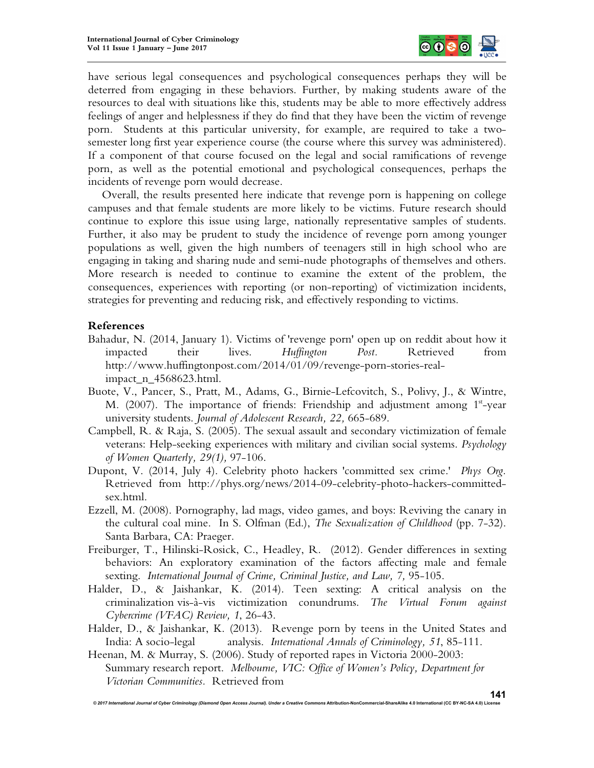

have serious legal consequences and psychological consequences perhaps they will be deterred from engaging in these behaviors. Further, by making students aware of the resources to deal with situations like this, students may be able to more effectively address feelings of anger and helplessness if they do find that they have been the victim of revenge porn. Students at this particular university, for example, are required to take a twosemester long first year experience course (the course where this survey was administered). If a component of that course focused on the legal and social ramifications of revenge porn, as well as the potential emotional and psychological consequences, perhaps the incidents of revenge porn would decrease.

Overall, the results presented here indicate that revenge porn is happening on college campuses and that female students are more likely to be victims. Future research should continue to explore this issue using large, nationally representative samples of students. Further, it also may be prudent to study the incidence of revenge porn among younger populations as well, given the high numbers of teenagers still in high school who are engaging in taking and sharing nude and semi-nude photographs of themselves and others. More research is needed to continue to examine the extent of the problem, the consequences, experiences with reporting (or non-reporting) of victimization incidents, strategies for preventing and reducing risk, and effectively responding to victims.

# **References**

- Bahadur, N. (2014, January 1). Victims of 'revenge porn' open up on reddit about how it impacted their lives. *Huffington Post.* Retrieved from http://www.huffingtonpost.com/2014/01/09/revenge-porn-stories-realimpact\_n\_4568623.html.
- Buote, V., Pancer, S., Pratt, M., Adams, G., Birnie-Lefcovitch, S., Polivy, J., & Wintre, M. (2007). The importance of friends: Friendship and adjustment among  $1<sup>st</sup>$ -year university students. *Journal of Adolescent Research, 22,* 665-689.
- Campbell, R. & Raja, S. (2005). The sexual assault and secondary victimization of female veterans: Help-seeking experiences with military and civilian social systems. *Psychology of Women Quarterly, 29(1),* 97-106.
- Dupont, V. (2014, July 4). Celebrity photo hackers 'committed sex crime.' *Phys Org.* Retrieved from http://phys.org/news/2014-09-celebrity-photo-hackers-committedsex.html.
- Ezzell, M. (2008). Pornography, lad mags, video games, and boys: Reviving the canary in the cultural coal mine. In S. Olfman (Ed.), *The Sexualization of Childhood* (pp. 7-32). Santa Barbara, CA: Praeger.
- Freiburger, T., Hilinski-Rosick, C., Headley, R. (2012). Gender differences in sexting behaviors: An exploratory examination of the factors affecting male and female sexting. International Journal of Crime, Criminal Justice, and Law, 7, 95-105.
- Halder, D., & Jaishankar, K. (2014). Teen sexting: A critical analysis on the criminalization vis-à-vis victimization conundrums. *The Virtual Forum against Cybercrime (VFAC) Review, 1*, 26-43.
- Halder, D., & Jaishankar, K. (2013). Revenge porn by teens in the United States and India: A socio-legal analysis. *International Annals of Criminology, 51*, 85-111.
- Heenan, M. & Murray, S. (2006). Study of reported rapes in Victoria 2000-2003: Summary research report. *Melbourne, VIC: Office of Women's Policy, Department for Victorian Communities.* Retrieved from